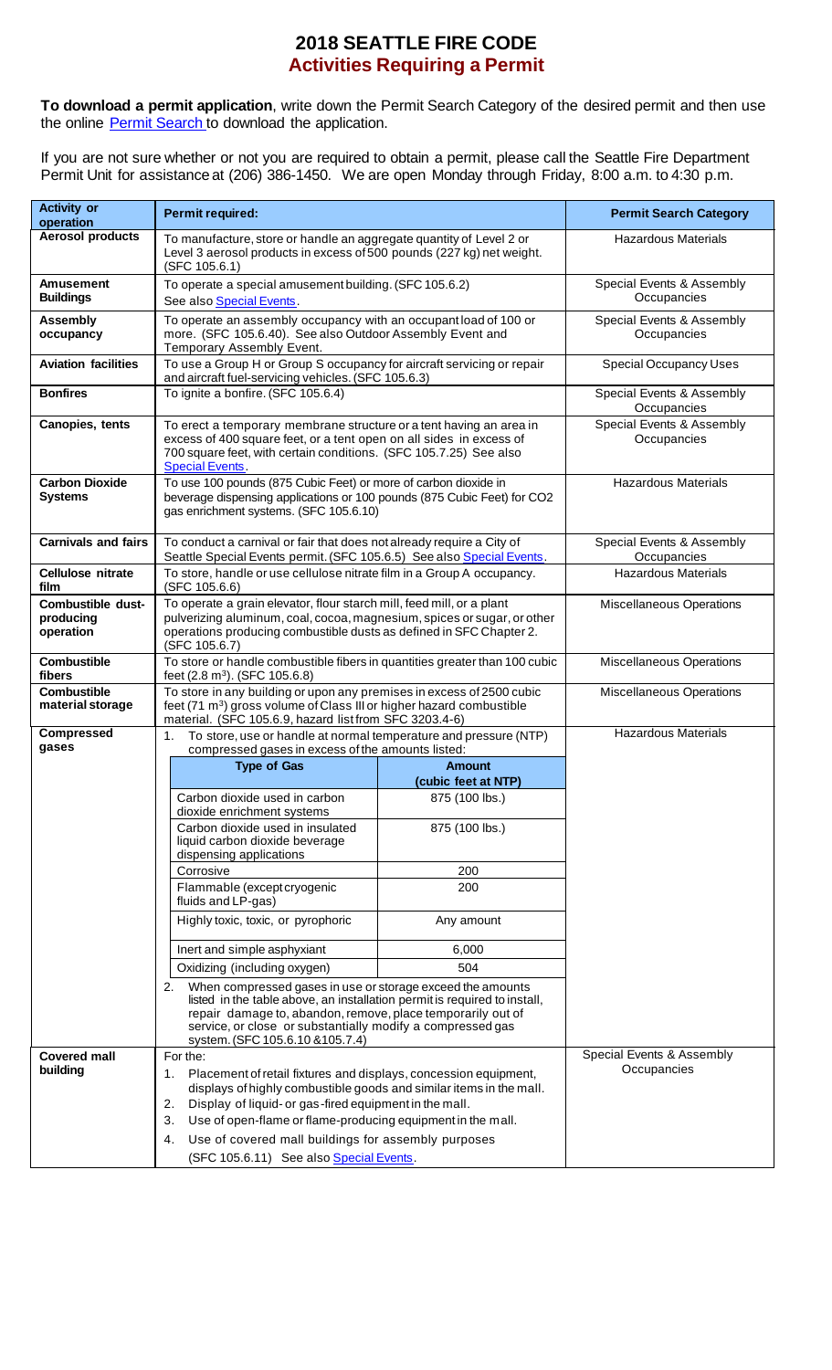## **2018 SEATTLE FIRE CODE Activities Requiring a Permit**

**To download a permit application**, write down the Permit Search Category of the desired permit and then use the online Permit [Search](http://www2.seattle.gov/fire/PermitSearch/) to download the application.

If you are not sure whether or not you are required to obtain a permit, please call the Seattle Fire Department Permit Unit for assistance at (206) 386-1450. We are open Monday through Friday, 8:00 a.m. to 4:30 p.m.

| <b>Activity or</b><br>operation             | Permit required:                                                                                                                                                                                                                                                                                                                                                                                       | <b>Permit Search Category</b>            |                                          |
|---------------------------------------------|--------------------------------------------------------------------------------------------------------------------------------------------------------------------------------------------------------------------------------------------------------------------------------------------------------------------------------------------------------------------------------------------------------|------------------------------------------|------------------------------------------|
| <b>Aerosol products</b>                     | To manufacture, store or handle an aggregate quantity of Level 2 or<br>Level 3 aerosol products in excess of 500 pounds (227 kg) net weight.<br>(SFC 105.6.1)                                                                                                                                                                                                                                          | <b>Hazardous Materials</b>               |                                          |
| <b>Amusement</b><br><b>Buildings</b>        | To operate a special amusement building. (SFC 105.6.2)<br>See also Special Events.                                                                                                                                                                                                                                                                                                                     |                                          | Special Events & Assembly<br>Occupancies |
| <b>Assembly</b><br>occupancy                | To operate an assembly occupancy with an occupant load of 100 or<br>more. (SFC 105.6.40). See also Outdoor Assembly Event and<br>Temporary Assembly Event.                                                                                                                                                                                                                                             | Special Events & Assembly<br>Occupancies |                                          |
| <b>Aviation facilities</b>                  | To use a Group H or Group S occupancy for aircraft servicing or repair<br>and aircraft fuel-servicing vehicles. (SFC 105.6.3)                                                                                                                                                                                                                                                                          |                                          | <b>Special Occupancy Uses</b>            |
| <b>Bonfires</b>                             | To ignite a bonfire. (SFC 105.6.4)                                                                                                                                                                                                                                                                                                                                                                     |                                          | Special Events & Assembly<br>Occupancies |
| Canopies, tents                             | To erect a temporary membrane structure or a tent having an area in<br>excess of 400 square feet, or a tent open on all sides in excess of<br>700 square feet, with certain conditions. (SFC 105.7.25) See also<br><b>Special Events.</b>                                                                                                                                                              | Special Events & Assembly<br>Occupancies |                                          |
| <b>Carbon Dioxide</b><br><b>Systems</b>     | To use 100 pounds (875 Cubic Feet) or more of carbon dioxide in<br>beverage dispensing applications or 100 pounds (875 Cubic Feet) for CO2<br>gas enrichment systems. (SFC 105.6.10)                                                                                                                                                                                                                   | <b>Hazardous Materials</b>               |                                          |
| <b>Carnivals and fairs</b>                  | To conduct a carnival or fair that does not already require a City of<br>Seattle Special Events permit. (SFC 105.6.5) See also Special Events.                                                                                                                                                                                                                                                         |                                          | Special Events & Assembly<br>Occupancies |
| <b>Cellulose nitrate</b><br>film            | To store, handle or use cellulose nitrate film in a Group A occupancy.<br>(SFC 105.6.6)                                                                                                                                                                                                                                                                                                                |                                          | <b>Hazardous Materials</b>               |
| Combustible dust-<br>producing<br>operation | To operate a grain elevator, flour starch mill, feed mill, or a plant<br>pulverizing aluminum, coal, cocoa, magnesium, spices or sugar, or other<br>operations producing combustible dusts as defined in SFC Chapter 2.<br>(SFC 105.6.7)                                                                                                                                                               | <b>Miscellaneous Operations</b>          |                                          |
| <b>Combustible</b><br>fibers                | To store or handle combustible fibers in quantities greater than 100 cubic<br>feet (2.8 m <sup>3</sup> ). (SFC 105.6.8)                                                                                                                                                                                                                                                                                | Miscellaneous Operations                 |                                          |
| <b>Combustible</b><br>material storage      | To store in any building or upon any premises in excess of 2500 cubic<br>feet (71 m <sup>3</sup> ) gross volume of Class III or higher hazard combustible<br>material. (SFC 105.6.9, hazard list from SFC 3203.4-6)                                                                                                                                                                                    |                                          | <b>Miscellaneous Operations</b>          |
| <b>Compressed</b><br>gases                  | To store, use or handle at normal temperature and pressure (NTP)<br>1.<br>compressed gases in excess of the amounts listed:                                                                                                                                                                                                                                                                            |                                          | <b>Hazardous Materials</b>               |
|                                             | <b>Type of Gas</b>                                                                                                                                                                                                                                                                                                                                                                                     | <b>Amount</b><br>(cubic feet at NTP)     |                                          |
|                                             | Carbon dioxide used in carbon<br>dioxide enrichment systems                                                                                                                                                                                                                                                                                                                                            | 875 (100 lbs.)                           |                                          |
|                                             | Carbon dioxide used in insulated<br>liquid carbon dioxide beverage<br>dispensing applications                                                                                                                                                                                                                                                                                                          | 875 (100 lbs.)                           |                                          |
|                                             | Corrosive                                                                                                                                                                                                                                                                                                                                                                                              | 200                                      |                                          |
|                                             | Flammable (except cryogenic<br>fluids and LP-gas)                                                                                                                                                                                                                                                                                                                                                      | 200                                      |                                          |
|                                             | Highly toxic, toxic, or pyrophoric                                                                                                                                                                                                                                                                                                                                                                     | Any amount                               |                                          |
|                                             | Inert and simple asphyxiant                                                                                                                                                                                                                                                                                                                                                                            | 6,000                                    |                                          |
|                                             | Oxidizing (including oxygen)                                                                                                                                                                                                                                                                                                                                                                           | 504                                      |                                          |
|                                             | When compressed gases in use or storage exceed the amounts<br>2.<br>listed in the table above, an installation permit is required to install,<br>repair damage to, abandon, remove, place temporarily out of<br>service, or close or substantially modify a compressed gas<br>system. (SFC 105.6.10 & 105.7.4)                                                                                         |                                          |                                          |
| <b>Covered mall</b><br>building             | For the:<br>Placement of retail fixtures and displays, concession equipment,<br>1.<br>displays of highly combustible goods and similar items in the mall.<br>Display of liquid- or gas-fired equipment in the mall.<br>2.<br>Use of open-flame or flame-producing equipment in the mall.<br>3.<br>Use of covered mall buildings for assembly purposes<br>4.<br>(SFC 105.6.11) See also Special Events. |                                          | Special Events & Assembly<br>Occupancies |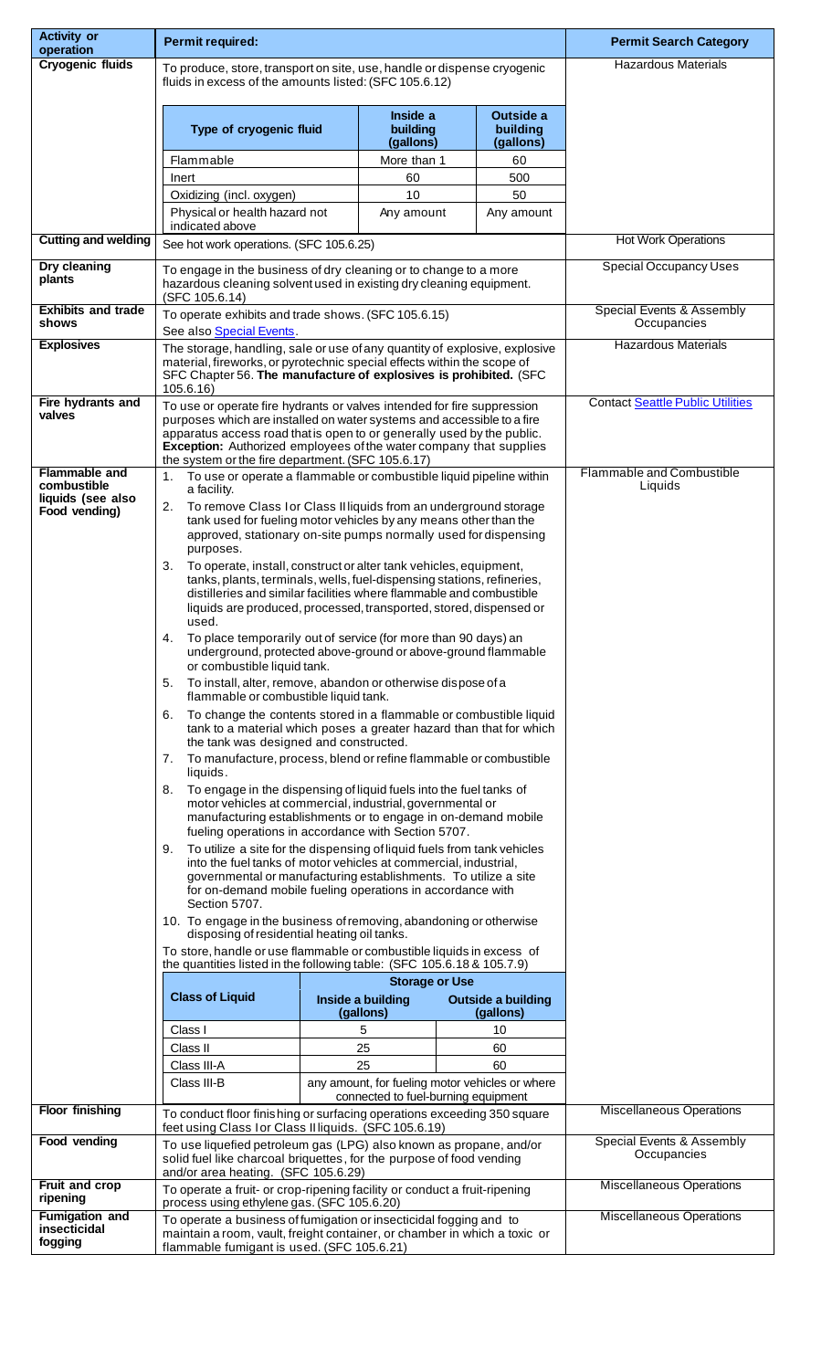| <b>Activity or</b><br>operation                  | Permit required:                                                                                                                                                                                                                                                                                                                                                                                                                                                                                                                                                                                                                                                                                                                                                                                                              |  |                                     |                            | <b>Permit Search Category</b>                         |                                             |  |
|--------------------------------------------------|-------------------------------------------------------------------------------------------------------------------------------------------------------------------------------------------------------------------------------------------------------------------------------------------------------------------------------------------------------------------------------------------------------------------------------------------------------------------------------------------------------------------------------------------------------------------------------------------------------------------------------------------------------------------------------------------------------------------------------------------------------------------------------------------------------------------------------|--|-------------------------------------|----------------------------|-------------------------------------------------------|---------------------------------------------|--|
| <b>Cryogenic fluids</b>                          | To produce, store, transport on site, use, handle or dispense cryogenic                                                                                                                                                                                                                                                                                                                                                                                                                                                                                                                                                                                                                                                                                                                                                       |  |                                     | <b>Hazardous Materials</b> |                                                       |                                             |  |
|                                                  | fluids in excess of the amounts listed: (SFC 105.6.12)                                                                                                                                                                                                                                                                                                                                                                                                                                                                                                                                                                                                                                                                                                                                                                        |  |                                     |                            |                                                       |                                             |  |
|                                                  | Type of cryogenic fluid                                                                                                                                                                                                                                                                                                                                                                                                                                                                                                                                                                                                                                                                                                                                                                                                       |  | Inside a<br>building<br>(gallons)   |                            | Outside a<br>building<br>(gallons)                    |                                             |  |
|                                                  | Flammable                                                                                                                                                                                                                                                                                                                                                                                                                                                                                                                                                                                                                                                                                                                                                                                                                     |  | More than 1                         |                            | 60                                                    |                                             |  |
|                                                  | Inert                                                                                                                                                                                                                                                                                                                                                                                                                                                                                                                                                                                                                                                                                                                                                                                                                         |  | 60                                  |                            | 500                                                   |                                             |  |
|                                                  | Oxidizing (incl. oxygen)<br>Physical or health hazard not                                                                                                                                                                                                                                                                                                                                                                                                                                                                                                                                                                                                                                                                                                                                                                     |  | 10<br>Any amount                    |                            | 50<br>Any amount                                      |                                             |  |
| <b>Cutting and welding</b>                       | indicated above                                                                                                                                                                                                                                                                                                                                                                                                                                                                                                                                                                                                                                                                                                                                                                                                               |  |                                     |                            |                                                       | <b>Hot Work Operations</b>                  |  |
|                                                  | See hot work operations. (SFC 105.6.25)                                                                                                                                                                                                                                                                                                                                                                                                                                                                                                                                                                                                                                                                                                                                                                                       |  |                                     |                            |                                                       |                                             |  |
| Dry cleaning<br>plants                           | To engage in the business of dry cleaning or to change to a more<br>hazardous cleaning solvent used in existing dry cleaning equipment.<br>(SFC 105.6.14)                                                                                                                                                                                                                                                                                                                                                                                                                                                                                                                                                                                                                                                                     |  |                                     |                            |                                                       | <b>Special Occupancy Uses</b>               |  |
| <b>Exhibits and trade</b><br>shows               | To operate exhibits and trade shows. (SFC 105.6.15)<br>See also Special Events.                                                                                                                                                                                                                                                                                                                                                                                                                                                                                                                                                                                                                                                                                                                                               |  |                                     |                            |                                                       | Special Events & Assembly<br>Occupancies    |  |
| <b>Explosives</b>                                | The storage, handling, sale or use of any quantity of explosive, explosive<br>material, fireworks, or pyrotechnic special effects within the scope of<br>SFC Chapter 56. The manufacture of explosives is prohibited. (SFC<br>105.6.16                                                                                                                                                                                                                                                                                                                                                                                                                                                                                                                                                                                        |  |                                     |                            |                                                       | <b>Hazardous Materials</b>                  |  |
| Fire hydrants and<br>valves                      | To use or operate fire hydrants or valves intended for fire suppression<br>purposes which are installed on water systems and accessible to a fire<br>apparatus access road that is open to or generally used by the public.<br>Exception: Authorized employees of the water company that supplies<br>the system or the fire department. (SFC 105.6.17)                                                                                                                                                                                                                                                                                                                                                                                                                                                                        |  |                                     |                            |                                                       | <b>Contact Seattle Public Utilities</b>     |  |
| Flammable and<br>combustible                     | To use or operate a flammable or combustible liquid pipeline within<br>1.<br>a facility.                                                                                                                                                                                                                                                                                                                                                                                                                                                                                                                                                                                                                                                                                                                                      |  |                                     |                            |                                                       | <b>Flammable and Combustible</b><br>Liquids |  |
| liquids (see also<br>Food vending)               | To remove Class I or Class II liquids from an underground storage<br>2.<br>tank used for fueling motor vehicles by any means other than the<br>approved, stationary on-site pumps normally used for dispensing<br>purposes.<br>To operate, install, construct or alter tank vehicles, equipment,<br>3.<br>tanks, plants, terminals, wells, fuel-dispensing stations, refineries,<br>distilleries and similar facilities where flammable and combustible<br>liquids are produced, processed, transported, stored, dispensed or<br>used.<br>To place temporarily out of service (for more than 90 days) an<br>4.<br>underground, protected above-ground or above-ground flammable<br>or combustible liquid tank.<br>To install, alter, remove, abandon or otherwise dispose of a<br>5.<br>flammable or combustible liquid tank. |  |                                     |                            |                                                       |                                             |  |
|                                                  | To change the contents stored in a flammable or combustible liquid<br>6.<br>tank to a material which poses a greater hazard than that for which<br>the tank was designed and constructed.<br>To manufacture, process, blend or refine flammable or combustible<br>7.                                                                                                                                                                                                                                                                                                                                                                                                                                                                                                                                                          |  |                                     |                            |                                                       |                                             |  |
|                                                  | liquids.<br>To engage in the dispensing of liquid fuels into the fuel tanks of<br>8.<br>motor vehicles at commercial, industrial, governmental or<br>manufacturing establishments or to engage in on-demand mobile<br>fueling operations in accordance with Section 5707.<br>To utilize a site for the dispensing of liquid fuels from tank vehicles<br>9.<br>into the fuel tanks of motor vehicles at commercial, industrial,                                                                                                                                                                                                                                                                                                                                                                                                |  |                                     |                            |                                                       |                                             |  |
|                                                  | governmental or manufacturing establishments. To utilize a site<br>for on-demand mobile fueling operations in accordance with<br>Section 5707.                                                                                                                                                                                                                                                                                                                                                                                                                                                                                                                                                                                                                                                                                |  |                                     |                            |                                                       |                                             |  |
|                                                  | 10. To engage in the business of removing, abandoning or otherwise<br>disposing of residential heating oil tanks.<br>To store, handle or use flammable or combustible liquids in excess of<br>the quantities listed in the following table: (SFC 105.6.18 & 105.7.9)                                                                                                                                                                                                                                                                                                                                                                                                                                                                                                                                                          |  |                                     |                            |                                                       |                                             |  |
|                                                  | <b>Storage or Use</b>                                                                                                                                                                                                                                                                                                                                                                                                                                                                                                                                                                                                                                                                                                                                                                                                         |  |                                     |                            |                                                       |                                             |  |
|                                                  | <b>Class of Liquid</b><br>Inside a building<br><b>Outside a building</b><br>(gallons)                                                                                                                                                                                                                                                                                                                                                                                                                                                                                                                                                                                                                                                                                                                                         |  | (gallons)                           |                            |                                                       |                                             |  |
|                                                  | Class I                                                                                                                                                                                                                                                                                                                                                                                                                                                                                                                                                                                                                                                                                                                                                                                                                       |  | 5                                   |                            | 10                                                    |                                             |  |
|                                                  | Class II                                                                                                                                                                                                                                                                                                                                                                                                                                                                                                                                                                                                                                                                                                                                                                                                                      |  | 25                                  |                            | 60                                                    |                                             |  |
|                                                  | Class III-A<br>Class III-B                                                                                                                                                                                                                                                                                                                                                                                                                                                                                                                                                                                                                                                                                                                                                                                                    |  | 25                                  |                            | 60<br>any amount, for fueling motor vehicles or where |                                             |  |
| <b>Floor finishing</b>                           |                                                                                                                                                                                                                                                                                                                                                                                                                                                                                                                                                                                                                                                                                                                                                                                                                               |  | connected to fuel-burning equipment |                            |                                                       | <b>Miscellaneous Operations</b>             |  |
|                                                  | To conduct floor finishing or surfacing operations exceeding 350 square<br>feet using Class Ior Class Illiquids. (SFC 105.6.19)                                                                                                                                                                                                                                                                                                                                                                                                                                                                                                                                                                                                                                                                                               |  |                                     |                            |                                                       |                                             |  |
| Food vending                                     | To use liquefied petroleum gas (LPG) also known as propane, and/or<br>solid fuel like charcoal briquettes, for the purpose of food vending<br>and/or area heating. (SFC 105.6.29)                                                                                                                                                                                                                                                                                                                                                                                                                                                                                                                                                                                                                                             |  |                                     |                            | Special Events & Assembly<br>Occupancies              |                                             |  |
| <b>Fruit and crop</b><br>ripening                | <b>Miscellaneous Operations</b><br>To operate a fruit- or crop-ripening facility or conduct a fruit-ripening<br>process using ethylene gas. (SFC 105.6.20)                                                                                                                                                                                                                                                                                                                                                                                                                                                                                                                                                                                                                                                                    |  |                                     |                            |                                                       |                                             |  |
| <b>Fumigation and</b><br>insecticidal<br>fogging | <b>Miscellaneous Operations</b><br>To operate a business of fumigation or insecticidal fogging and to<br>maintain a room, vault, freight container, or chamber in which a toxic or<br>flammable fumigant is used. (SFC 105.6.21)                                                                                                                                                                                                                                                                                                                                                                                                                                                                                                                                                                                              |  |                                     |                            |                                                       |                                             |  |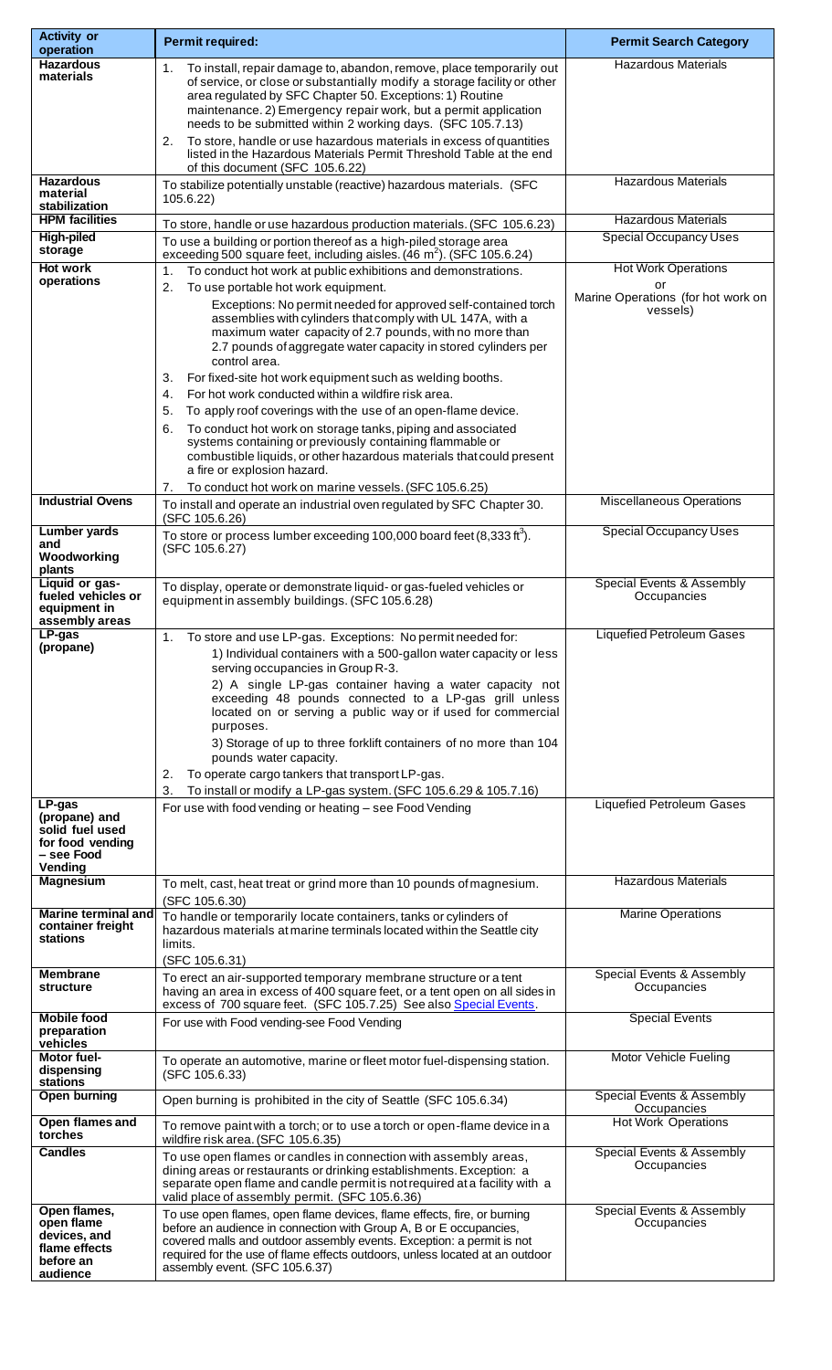| <b>Activity or</b><br>operation                 | Permit required:                                                                                                                                       | <b>Permit Search Category</b>                               |  |
|-------------------------------------------------|--------------------------------------------------------------------------------------------------------------------------------------------------------|-------------------------------------------------------------|--|
| <b>Hazardous</b>                                | To install, repair damage to, abandon, remove, place temporarily out<br>1.                                                                             | <b>Hazardous Materials</b>                                  |  |
| materials                                       | of service, or close or substantially modify a storage facility or other                                                                               |                                                             |  |
|                                                 | area regulated by SFC Chapter 50. Exceptions: 1) Routine<br>maintenance. 2) Emergency repair work, but a permit application                            |                                                             |  |
|                                                 | needs to be submitted within 2 working days. (SFC 105.7.13)                                                                                            |                                                             |  |
|                                                 | To store, handle or use hazardous materials in excess of quantities<br>2.<br>listed in the Hazardous Materials Permit Threshold Table at the end       |                                                             |  |
|                                                 | of this document (SFC 105.6.22)                                                                                                                        |                                                             |  |
| <b>Hazardous</b><br>material                    | To stabilize potentially unstable (reactive) hazardous materials. (SFC<br>105.6.22)                                                                    | <b>Hazardous Materials</b>                                  |  |
| stabilization<br><b>HPM</b> facilities          |                                                                                                                                                        |                                                             |  |
| <b>High-piled</b>                               | To store, handle or use hazardous production materials. (SFC 105.6.23)                                                                                 | <b>Hazardous Materials</b><br><b>Special Occupancy Uses</b> |  |
| storage                                         | To use a building or portion thereof as a high-piled storage area<br>exceeding 500 square feet, including aisles. (46 m <sup>2</sup> ). (SFC 105.6.24) |                                                             |  |
| <b>Hot work</b><br>operations                   | To conduct hot work at public exhibitions and demonstrations.<br>1.                                                                                    | <b>Hot Work Operations</b>                                  |  |
|                                                 | To use portable hot work equipment.<br>2.                                                                                                              | or<br>Marine Operations (for hot work on                    |  |
|                                                 | Exceptions: No permit needed for approved self-contained torch<br>assemblies with cylinders that comply with UL 147A, with a                           | vessels)                                                    |  |
|                                                 | maximum water capacity of 2.7 pounds, with no more than                                                                                                |                                                             |  |
|                                                 | 2.7 pounds of aggregate water capacity in stored cylinders per<br>control area.                                                                        |                                                             |  |
|                                                 | For fixed-site hot work equipment such as welding booths.<br>3.                                                                                        |                                                             |  |
|                                                 | For hot work conducted within a wildfire risk area.<br>4.                                                                                              |                                                             |  |
|                                                 | To apply roof coverings with the use of an open-flame device.<br>5.                                                                                    |                                                             |  |
|                                                 | To conduct hot work on storage tanks, piping and associated<br>6.<br>systems containing or previously containing flammable or                          |                                                             |  |
|                                                 | combustible liquids, or other hazardous materials that could present                                                                                   |                                                             |  |
|                                                 | a fire or explosion hazard.<br>To conduct hot work on marine vessels. (SFC 105.6.25)<br>7.                                                             |                                                             |  |
| <b>Industrial Ovens</b>                         | To install and operate an industrial oven regulated by SFC Chapter 30.                                                                                 | <b>Miscellaneous Operations</b>                             |  |
| <b>Lumber yards</b>                             | (SFC 105.6.26)                                                                                                                                         | <b>Special Occupancy Uses</b>                               |  |
| and                                             | To store or process lumber exceeding 100,000 board feet $(8,333 \text{ ft}^3)$ .<br>(SFC 105.6.27)                                                     |                                                             |  |
| Woodworking<br>plants                           |                                                                                                                                                        |                                                             |  |
| Liquid or gas-                                  | To display, operate or demonstrate liquid- or gas-fueled vehicles or                                                                                   | Special Events & Assembly                                   |  |
| fueled vehicles or<br>equipment in              | equipment in assembly buildings. (SFC 105.6.28)                                                                                                        | Occupancies                                                 |  |
| assembly areas<br>$LP-gas$                      | To store and use LP-gas. Exceptions: No permit needed for:                                                                                             | <b>Liquefied Petroleum Gases</b>                            |  |
| (propane)                                       | 1<br>1) Individual containers with a 500-gallon water capacity or less                                                                                 |                                                             |  |
|                                                 | serving occupancies in Group R-3.                                                                                                                      |                                                             |  |
|                                                 | 2) A single LP-gas container having a water capacity not<br>exceeding 48 pounds connected to a LP-gas grill unless                                     |                                                             |  |
|                                                 | located on or serving a public way or if used for commercial                                                                                           |                                                             |  |
|                                                 | purposes.                                                                                                                                              |                                                             |  |
|                                                 | 3) Storage of up to three forklift containers of no more than 104<br>pounds water capacity.                                                            |                                                             |  |
|                                                 | To operate cargo tankers that transport LP-gas.<br>2.                                                                                                  |                                                             |  |
| LP-gas                                          | To install or modify a LP-gas system. (SFC 105.6.29 & 105.7.16)<br>3.                                                                                  | <b>Liquefied Petroleum Gases</b>                            |  |
| (propane) and                                   | For use with food vending or heating - see Food Vending                                                                                                |                                                             |  |
| solid fuel used<br>for food vending             |                                                                                                                                                        |                                                             |  |
| – see Food                                      |                                                                                                                                                        |                                                             |  |
| Vending<br><b>Magnesium</b>                     | To melt, cast, heat treat or grind more than 10 pounds of magnesium.                                                                                   | <b>Hazardous Materials</b>                                  |  |
|                                                 | (SFC 105.6.30)                                                                                                                                         |                                                             |  |
| <b>Marine terminal and</b><br>container freight | To handle or temporarily locate containers, tanks or cylinders of                                                                                      | <b>Marine Operations</b>                                    |  |
| <b>stations</b>                                 | hazardous materials at marine terminals located within the Seattle city<br>limits.                                                                     |                                                             |  |
|                                                 | (SFC 105.6.31)                                                                                                                                         |                                                             |  |
| <b>Membrane</b><br>structure                    | To erect an air-supported temporary membrane structure or a tent<br>having an area in excess of 400 square feet, or a tent open on all sides in        | Special Events & Assembly<br>Occupancies                    |  |
|                                                 | excess of 700 square feet. (SFC 105.7.25) See also Special Events.                                                                                     |                                                             |  |
| <b>Mobile food</b><br>preparation               | For use with Food vending-see Food Vending                                                                                                             | <b>Special Events</b>                                       |  |
| vehicles<br>Motor fuel-                         |                                                                                                                                                        | Motor Vehicle Fueling                                       |  |
| dispensing                                      | To operate an automotive, marine or fleet motor fuel-dispensing station.<br>(SFC 105.6.33)                                                             |                                                             |  |
| stations<br><b>Open burning</b>                 | Open burning is prohibited in the city of Seattle (SFC 105.6.34)                                                                                       | Special Events & Assembly                                   |  |
| Open flames and                                 |                                                                                                                                                        | Occupancies<br><b>Hot Work Operations</b>                   |  |
| torches                                         | To remove paint with a torch; or to use a torch or open-flame device in a<br>wildfire risk area. (SFC 105.6.35)                                        |                                                             |  |
| <b>Candles</b>                                  | To use open flames or candles in connection with assembly areas,                                                                                       | Special Events & Assembly                                   |  |
|                                                 | dining areas or restaurants or drinking establishments. Exception: a<br>separate open flame and candle permit is not required at a facility with a     | Occupancies                                                 |  |
|                                                 | valid place of assembly permit. (SFC 105.6.36)                                                                                                         |                                                             |  |
| Open flames,<br>open flame                      | To use open flames, open flame devices, flame effects, fire, or burning                                                                                | Special Events & Assembly<br>Occupancies                    |  |
| devices, and                                    | before an audience in connection with Group A, B or E occupancies,<br>covered malls and outdoor assembly events. Exception: a permit is not            |                                                             |  |
| flame effects<br>before an                      | required for the use of flame effects outdoors, unless located at an outdoor                                                                           |                                                             |  |
| audience                                        | assembly event. (SFC 105.6.37)                                                                                                                         |                                                             |  |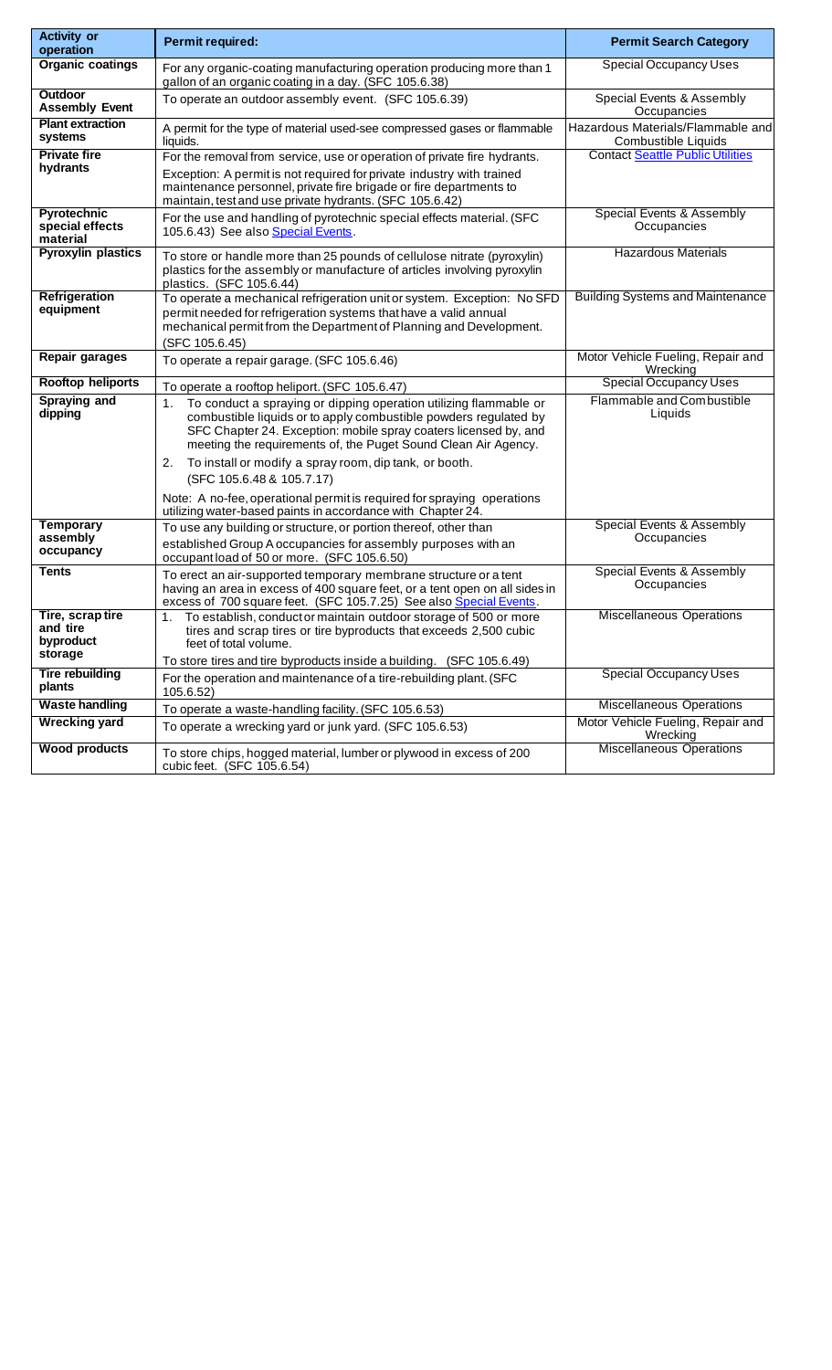| <b>Activity or</b><br>operation                     | Permit required:                                                                                                                                                                                                                                                                   | <b>Permit Search Category</b>                            |  |
|-----------------------------------------------------|------------------------------------------------------------------------------------------------------------------------------------------------------------------------------------------------------------------------------------------------------------------------------------|----------------------------------------------------------|--|
| <b>Organic coatings</b>                             | For any organic-coating manufacturing operation producing more than 1<br>gallon of an organic coating in a day. (SFC 105.6.38)                                                                                                                                                     | <b>Special Occupancy Uses</b>                            |  |
| <b>Outdoor</b><br><b>Assembly Event</b>             | To operate an outdoor assembly event. (SFC 105.6.39)                                                                                                                                                                                                                               | Special Events & Assembly<br>Occupancies                 |  |
| <b>Plant extraction</b><br>systems                  | A permit for the type of material used-see compressed gases or flammable<br>liquids.                                                                                                                                                                                               | Hazardous Materials/Flammable and<br>Combustible Liquids |  |
| <b>Private fire</b><br>hydrants                     | For the removal from service, use or operation of private fire hydrants.<br>Exception: A permit is not required for private industry with trained<br>maintenance personnel, private fire brigade or fire departments to<br>maintain, test and use private hydrants. (SFC 105.6.42) | <b>Contact Seattle Public Utilities</b>                  |  |
| Pyrotechnic<br>special effects<br>material          | For the use and handling of pyrotechnic special effects material. (SFC<br>105.6.43) See also Special Events.                                                                                                                                                                       | Special Events & Assembly<br>Occupancies                 |  |
| <b>Pyroxylin plastics</b>                           | To store or handle more than 25 pounds of cellulose nitrate (pyroxylin)<br>plastics for the assembly or manufacture of articles involving pyroxylin<br>plastics. (SFC 105.6.44)                                                                                                    | <b>Hazardous Materials</b>                               |  |
| <b>Refrigeration</b><br>equipment                   | To operate a mechanical refrigeration unit or system. Exception: No SFD<br>permit needed for refrigeration systems that have a valid annual<br>mechanical permit from the Department of Planning and Development.<br>(SFC 105.6.45)                                                | <b>Building Systems and Maintenance</b>                  |  |
| <b>Repair garages</b>                               | To operate a repair garage. (SFC 105.6.46)                                                                                                                                                                                                                                         | Motor Vehicle Fueling, Repair and<br>Wrecking            |  |
| <b>Rooftop heliports</b>                            | To operate a rooftop heliport. (SFC 105.6.47)                                                                                                                                                                                                                                      | <b>Special Occupancy Uses</b>                            |  |
| <b>Spraying and</b><br>dipping                      | To conduct a spraying or dipping operation utilizing flammable or<br>1.<br>combustible liquids or to apply combustible powders regulated by<br>SFC Chapter 24. Exception: mobile spray coaters licensed by, and<br>meeting the requirements of, the Puget Sound Clean Air Agency.  | Flammable and Combustible<br>Liquids                     |  |
|                                                     | To install or modify a spray room, dip tank, or booth.<br>2.<br>(SFC 105.6.48 & 105.7.17)                                                                                                                                                                                          |                                                          |  |
|                                                     | Note: A no-fee, operational permit is required for spraying operations<br>utilizing water-based paints in accordance with Chapter 24.                                                                                                                                              |                                                          |  |
| <b>Temporary</b><br>assembly<br>occupancy           | To use any building or structure, or portion thereof, other than<br>established Group A occupancies for assembly purposes with an<br>occupant load of 50 or more. (SFC 105.6.50)                                                                                                   | Special Events & Assembly<br>Occupancies                 |  |
| Tents                                               | To erect an air-supported temporary membrane structure or a tent<br>having an area in excess of 400 square feet, or a tent open on all sides in<br>excess of 700 square feet. (SFC 105.7.25) See also Special Events.                                                              | Special Events & Assembly<br>Occupancies                 |  |
| Tire, scraptire<br>and tire<br>byproduct<br>storage | To establish, conductor maintain outdoor storage of 500 or more<br>1.<br>tires and scrap tires or tire byproducts that exceeds 2,500 cubic<br>feet of total volume.<br>To store tires and tire byproducts inside a building. (SFC 105.6.49)                                        | <b>Miscellaneous Operations</b>                          |  |
| <b>Tire rebuilding</b><br>plants                    | For the operation and maintenance of a tire-rebuilding plant. (SFC<br>105.6.52)                                                                                                                                                                                                    | <b>Special Occupancy Uses</b>                            |  |
| <b>Waste handling</b>                               | To operate a waste-handling facility. (SFC 105.6.53)                                                                                                                                                                                                                               | <b>Miscellaneous Operations</b>                          |  |
| <b>Wrecking yard</b>                                | To operate a wrecking yard or junk yard. (SFC 105.6.53)                                                                                                                                                                                                                            | Motor Vehicle Fueling, Repair and<br>Wrecking            |  |
| <b>Wood products</b>                                | To store chips, hogged material, lumber or plywood in excess of 200<br>cubic feet. (SFC 105.6.54)                                                                                                                                                                                  | <b>Miscellaneous Operations</b>                          |  |